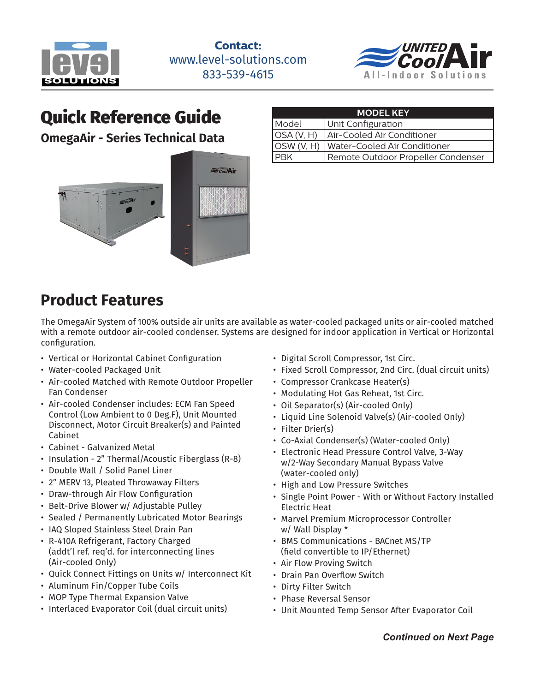



# Quick Reference Guide

**OmegaAir - Series Technical Data**



| <b>MODEL KEY</b> |                                           |  |  |  |  |  |  |  |
|------------------|-------------------------------------------|--|--|--|--|--|--|--|
| Model            | Unit Configuration                        |  |  |  |  |  |  |  |
| OSA(V, H)        | Air-Cooled Air Conditioner                |  |  |  |  |  |  |  |
|                  | OSW (V, H)   Water-Cooled Air Conditioner |  |  |  |  |  |  |  |
| <b>IPBK</b>      | Remote Outdoor Propeller Condenser        |  |  |  |  |  |  |  |

# **Product Features**

The OmegaAir System of 100% outside air units are available as water-cooled packaged units or air-cooled matched with a remote outdoor air-cooled condenser. Systems are designed for indoor application in Vertical or Horizontal configuration.

- Vertical or Horizontal Cabinet Configuration
- Water-cooled Packaged Unit
- Air-cooled Matched with Remote Outdoor Propeller Fan Condenser
- Air-cooled Condenser includes: ECM Fan Speed Control (Low Ambient to 0 Deg.F), Unit Mounted Disconnect, Motor Circuit Breaker(s) and Painted Cabinet
- Cabinet Galvanized Metal
- Insulation 2" Thermal/Acoustic Fiberglass (R-8)
- Double Wall / Solid Panel Liner
- 2" MERV 13, Pleated Throwaway Filters
- Draw-through Air Flow Configuration
- Belt-Drive Blower w/ Adjustable Pulley
- Sealed / Permanently Lubricated Motor Bearings
- IAQ Sloped Stainless Steel Drain Pan
- R-410A Refrigerant, Factory Charged (addt'l ref. req'd. for interconnecting lines (Air-cooled Only)
- Quick Connect Fittings on Units w/ Interconnect Kit
- Aluminum Fin/Copper Tube Coils
- MOP Type Thermal Expansion Valve
- Interlaced Evaporator Coil (dual circuit units)
- Digital Scroll Compressor, 1st Circ.
- Fixed Scroll Compressor, 2nd Circ. (dual circuit units)
- Compressor Crankcase Heater(s)
- Modulating Hot Gas Reheat, 1st Circ.
- Oil Separator(s) (Air-cooled Only)
- Liquid Line Solenoid Valve(s) (Air-cooled Only)
- Filter Drier(s)
- Co-Axial Condenser(s) (Water-cooled Only)
- Electronic Head Pressure Control Valve, 3-Way w/2-Way Secondary Manual Bypass Valve (water-cooled only)
- High and Low Pressure Switches
- Single Point Power With or Without Factory Installed Electric Heat
- Marvel Premium Microprocessor Controller w/ Wall Display \*
- BMS Communications BACnet MS/TP (field convertible to IP/Ethernet)
- Air Flow Proving Switch
- Drain Pan Overflow Switch
- Dirty Filter Switch
- Phase Reversal Sensor
- Unit Mounted Temp Sensor After Evaporator Coil

*Continued on Next Page*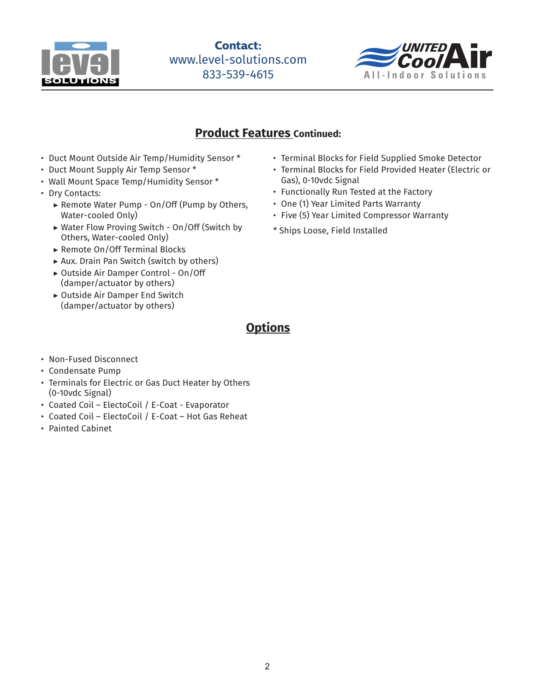



### **Product Features Continued:**

- Duct Mount Outside Air Temp/Humidity Sensor \*
- Duct Mount Supply Air Temp Sensor \*
- Wall Mount Space Temp/Humidity Sensor \*
- Dry Contacts:
	- ▶ Remote Water Pump On/Off (Pump by Others, Water-cooled Only)
	- ▶ Water Flow Proving Switch On/Off (Switch by Others, Water-cooled Only)
	- ▶ Remote On/Off Terminal Blocks
	- ▶ Aux. Drain Pan Switch (switch by others)
	- ▶ Outside Air Damper Control On/Off (damper/actuator by others)
	- ▶ Outside Air Damper End Switch (damper/actuator by others)
- Terminal Blocks for Field Supplied Smoke Detector
- Terminal Blocks for Field Provided Heater (Electric or Gas), 0-10vdc Signal
- Functionally Run Tested at the Factory
- One (1) Year Limited Parts Warranty
- Five (5) Year Limited Compressor Warranty
- \* Ships Loose, Field Installed

**Options**

- Non-Fused Disconnect
- Condensate Pump
- Terminals for Electric or Gas Duct Heater by Others (0-10vdc Signal)
- Coated Coil ElectoCoil / E-Coat Evaporator
- Coated Coil ElectoCoil / E-Coat Hot Gas Reheat
- Painted Cabinet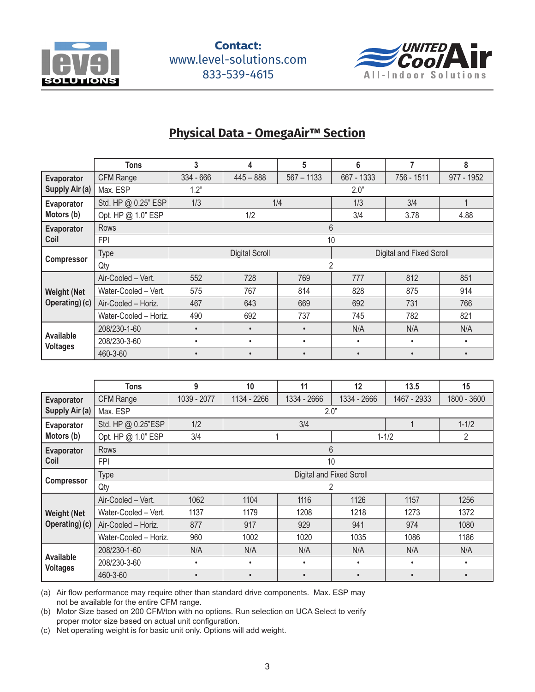



## **Physical Data - OmegaAir™ Section**

|                                     | <b>Tons</b>           | 3           | 4                     | 5            | 6                        | 7          | 8          |  |  |  |
|-------------------------------------|-----------------------|-------------|-----------------------|--------------|--------------------------|------------|------------|--|--|--|
| Evaporator                          | CFM Range             | $334 - 666$ | $445 - 888$           | $567 - 1133$ | 667 - 1333               | 756 - 1511 | 977 - 1952 |  |  |  |
| Supply Air (a)                      | Max. ESP              | 1.2"        |                       |              | 2.0"                     |            |            |  |  |  |
| Evaporator                          | Std. HP @ 0.25" ESP   | 1/3         |                       | 1/4          | 1/3                      | 3/4        |            |  |  |  |
| Motors (b)                          | Opt. HP @ 1.0" ESP    |             | 1/2                   |              | 3/4                      | 3.78       | 4.88       |  |  |  |
| Evaporator                          | <b>Rows</b>           |             |                       |              | 6                        |            |            |  |  |  |
| Coil                                | <b>FPI</b>            |             | 10                    |              |                          |            |            |  |  |  |
|                                     | <b>Type</b>           |             | <b>Digital Scroll</b> |              | Digital and Fixed Scroll |            |            |  |  |  |
| <b>Compressor</b>                   | Qty                   | 2           |                       |              |                          |            |            |  |  |  |
|                                     | Air-Cooled - Vert.    | 552         | 728                   | 769          | 777                      | 812        | 851        |  |  |  |
| <b>Weight (Net</b>                  | Water-Cooled - Vert.  | 575         | 767                   | 814          | 828                      | 875        | 914        |  |  |  |
| Operating) (c)                      | Air-Cooled - Horiz.   | 467         | 643                   | 669          | 692                      | 731        | 766        |  |  |  |
|                                     | Water-Cooled - Horiz. | 490         | 692                   | 737          | 745                      | 782        | 821        |  |  |  |
|                                     | 208/230-1-60          | $\bullet$   | $\bullet$             | $\bullet$    | N/A                      | N/A        | N/A        |  |  |  |
| <b>Available</b><br><b>Voltages</b> | 208/230-3-60          | ٠           | $\bullet$             | ٠            | $\bullet$                | $\bullet$  | ٠          |  |  |  |
|                                     | 460-3-60              | $\bullet$   | $\bullet$             | $\bullet$    | $\bullet$                | $\bullet$  |            |  |  |  |

|                                     | <b>Tons</b>           | 9                        | 10          | 11          | 12          | 13.5        | 15          |  |  |  |  |
|-------------------------------------|-----------------------|--------------------------|-------------|-------------|-------------|-------------|-------------|--|--|--|--|
| Evaporator                          | CFM Range             | 1039 - 2077              | 1134 - 2266 | 1334 - 2666 | 1334 - 2666 | 1467 - 2933 | 1800 - 3600 |  |  |  |  |
| Supply Air (a)                      | Max. ESP              |                          | 2.0"        |             |             |             |             |  |  |  |  |
| Evaporator                          | Std. HP @ 0.25"ESP    | 1/2                      |             | 3/4         |             |             | $1 - 1/2$   |  |  |  |  |
| Motors (b)                          | Opt. HP @ 1.0" ESP    | 3/4                      |             |             |             | $1 - 1/2$   | 2           |  |  |  |  |
| Evaporator                          | Rows                  |                          |             | 6           |             |             |             |  |  |  |  |
| Coil                                | <b>FPI</b>            |                          | 10          |             |             |             |             |  |  |  |  |
|                                     | <b>Type</b>           | Digital and Fixed Scroll |             |             |             |             |             |  |  |  |  |
| <b>Compressor</b>                   | Qty                   | 2                        |             |             |             |             |             |  |  |  |  |
|                                     | Air-Cooled - Vert.    | 1062                     | 1104        | 1116        | 1126        | 1157        | 1256        |  |  |  |  |
| <b>Weight (Net</b>                  | Water-Cooled - Vert.  | 1137                     | 1179        | 1208        | 1218        | 1273        | 1372        |  |  |  |  |
| Operating) (c)                      | Air-Cooled - Horiz.   | 877                      | 917         | 929         | 941         | 974         | 1080        |  |  |  |  |
|                                     | Water-Cooled - Horiz. | 960                      | 1002        | 1020        | 1035        | 1086        | 1186        |  |  |  |  |
|                                     | 208/230-1-60          | N/A                      | N/A         | N/A         | N/A         | N/A         | N/A         |  |  |  |  |
| <b>Available</b><br><b>Voltages</b> | 208/230-3-60          | $\bullet$                | $\bullet$   | ٠           | $\bullet$   |             | $\bullet$   |  |  |  |  |
|                                     | 460-3-60              | $\bullet$                | $\bullet$   | $\bullet$   | $\bullet$   | $\bullet$   | $\bullet$   |  |  |  |  |

(a) Air flow performance may require other than standard drive components. Max. ESP may not be available for the entire CFM range.

(b) Motor Size based on 200 CFM/ton with no options. Run selection on UCA Select to verify proper motor size based on actual unit configuration.

(c) Net operating weight is for basic unit only. Options will add weight.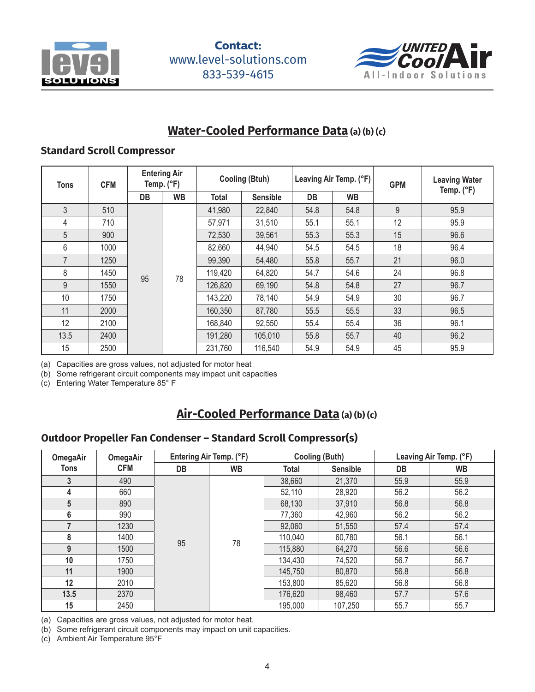



### **Water-Cooled Performance Data (a) (b) (c)**

#### **Standard Scroll Compressor**

| <b>Tons</b>    | <b>CFM</b> | <b>Entering Air</b><br>Temp. (°F) |           | <b>Cooling (Btuh)</b> |                 |           | Leaving Air Temp. (°F) | <b>GPM</b> | <b>Leaving Water</b><br>Temp. (°F) |  |
|----------------|------------|-----------------------------------|-----------|-----------------------|-----------------|-----------|------------------------|------------|------------------------------------|--|
|                |            | <b>DB</b>                         | <b>WB</b> | Total                 | <b>Sensible</b> | <b>DB</b> | <b>WB</b>              |            |                                    |  |
| 3              | 510        |                                   |           | 41,980                | 22,840          | 54.8      | 54.8                   | 9          | 95.9                               |  |
| 4              | 710        |                                   |           | 57,971                | 31,510          | 55.1      | 55.1                   | 12         | 95.9                               |  |
| 5              | 900        |                                   |           | 72,530                | 39,561          | 55.3      | 55.3                   | 15         | 96.6                               |  |
| 6              | 1000       |                                   |           | 82,660                | 44,940          | 54.5      | 54.5                   | 18         | 96.4                               |  |
| $\overline{7}$ | 1250       |                                   |           | 99,390                | 54,480          | 55.8      | 55.7                   | 21         | 96.0                               |  |
| 8              | 1450       | 95                                | 78        | 119,420               | 64,820          | 54.7      | 54.6                   | 24         | 96.8                               |  |
| 9              | 1550       |                                   |           | 126,820               | 69,190          | 54.8      | 54.8                   | 27         | 96.7                               |  |
| 10             | 1750       |                                   |           | 143,220               | 78,140          | 54.9      | 54.9                   | 30         | 96.7                               |  |
| 11             | 2000       |                                   |           | 160,350               | 87,780          | 55.5      | 55.5                   | 33         | 96.5                               |  |
| 12             | 2100       |                                   |           | 168,840               | 92,550          | 55.4      | 55.4                   | 36         | 96.1                               |  |
| 13.5           | 2400       |                                   |           | 191,280               | 105,010         | 55.8      | 55.7                   | 40         | 96.2                               |  |
| 15             | 2500       |                                   |           | 231,760               | 116,540         | 54.9      | 54.9                   | 45         | 95.9                               |  |

(a) Capacities are gross values, not adjusted for motor heat

(b) Some refrigerant circuit components may impact unit capacities

(c) Entering Water Temperature 85° F

## **Air-Cooled Performance Data (a) (b) (c)**

#### **Outdoor Propeller Fan Condenser – Standard Scroll Compressor(s)**

| <b>OmegaAir</b> | OmegaAir   | Entering Air Temp. (°F) |    |              | <b>Cooling (Buth)</b> | Leaving Air Temp. (°F) |        |      |      |
|-----------------|------------|-------------------------|----|--------------|-----------------------|------------------------|--------|------|------|
| <b>Tons</b>     | <b>CFM</b> | DB                      | WB | <b>Total</b> | <b>Sensible</b>       | DB                     | WB     |      |      |
| 3               | 490        |                         |    | 38,660       | 21,370                | 55.9                   | 55.9   |      |      |
| 4               | 660        |                         |    | 52,110       | 28,920                | 56.2                   | 56.2   |      |      |
| 5               | 890        |                         |    | 68,130       | 37,910                | 56.8                   | 56.8   |      |      |
| 6               | 990        |                         |    |              |                       | 77,360                 | 42,960 | 56.2 | 56.2 |
| 7               | 1230       |                         |    | 92,060       | 51,550                | 57.4                   | 57.4   |      |      |
| 8               | 1400       | 95                      |    | 110,040      | 60,780                | 56.1                   | 56.1   |      |      |
| 9               | 1500       |                         | 78 | 115,880      | 64,270                | 56.6                   | 56.6   |      |      |
| 10              | 1750       |                         |    |              | 134,430               | 74,520                 | 56.7   | 56.7 |      |
| 11              | 1900       |                         |    | 145,750      | 80,870                | 56.8                   | 56.8   |      |      |
| 12              | 2010       |                         |    | 153,800      | 85,620                | 56.8                   | 56.8   |      |      |
| 13.5            | 2370       |                         |    | 176,620      | 98,460                | 57.7                   | 57.6   |      |      |
| 15              | 2450       |                         |    | 195,000      | 107,250               | 55.7                   | 55.7   |      |      |

(a) Capacities are gross values, not adjusted for motor heat.

(b) Some refrigerant circuit components may impact on unit capacities.

(c) Ambient Air Temperature 95°F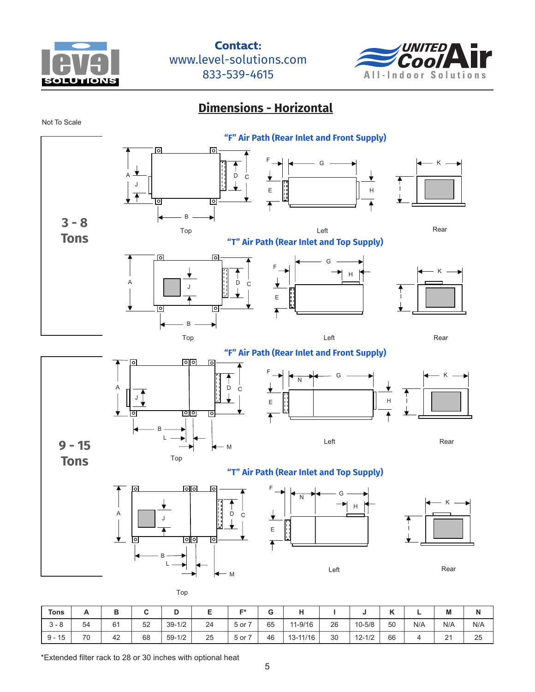

<sup>-</sup>



<u>Left Rear (1986), and the second control of the second control of the second control of</u>

<u> Dimensions - Horizontal</u>

Not To Scale



| <b>Tons</b>       | $\mathsf{A}$ | D<br>D |    |            |    | E*   | G  | . .         |    |            | v<br>" |     | M   | N   |
|-------------------|--------------|--------|----|------------|----|------|----|-------------|----|------------|--------|-----|-----|-----|
| $\circ$<br>-3 - 8 | 54           | 61     | 52 | $39 - 1/2$ | 24 | 5 or | 65 | $11 - 9/16$ | 26 | $10 - 5/8$ | 50     | N/A | N/A | N/A |
| $9 - 15$          | 70           | 42     | 68 | $59 - 1/2$ | 25 | 5 or | 46 | 13-11/16    | 30 | $12 - 1/2$ | 66     |     | 21  | 25  |

\*Extended filter rack to 28 or 30 inches with optional heat  $\sim$   $\sim$   $\sim$